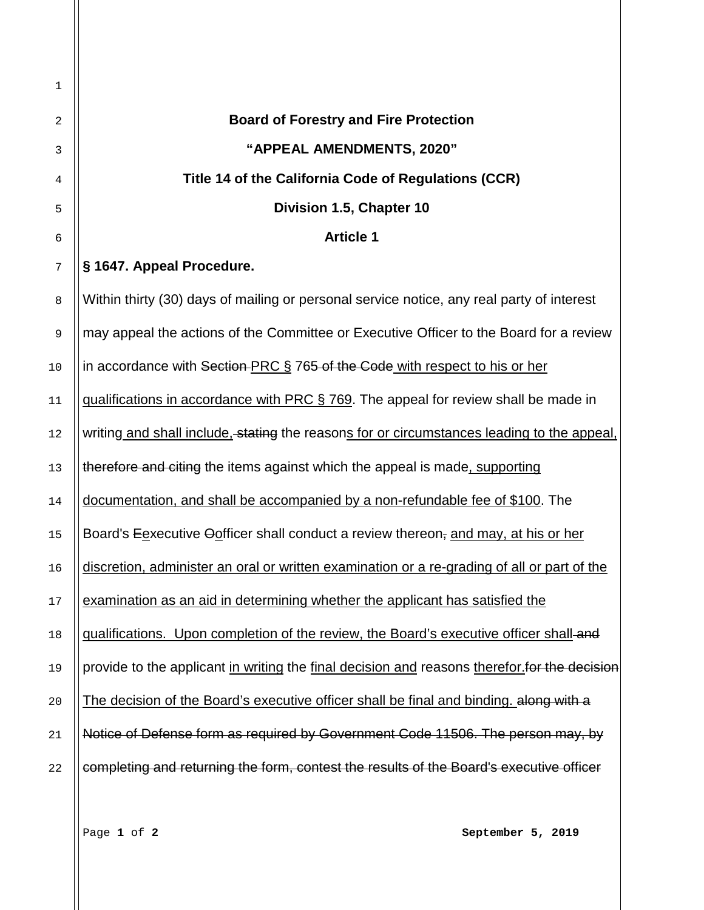Accessibility Note: The following document uses underlined and strike-through fonts to indicate regulatory text which is proposed for addition or removal, respectively. **Board of Forestry and Fire Protection "APPEAL AMENDMENTS, 2020" Title 14 of the California Code of Regulations (CCR) Division 1.5, Chapter 10 Article 1**  $\frac{7}{7}$   $\|$ § 1647. Appeal Procedure. 8 Within thirty (30) days of mailing or personal service notice, any real party of interest 9 || may appeal the actions of the Committee or Executive Officer to the Board for a review 10 | in accordance with Section PRC § 765 of the Code with respect to his or her || qualifications in accordance with PRC § 769. The appeal for review shall be made in 12 Writing and shall include, stating the reasons for or circumstances leading to the appeal, || therefore and citing the items against which the appeal is made, supporting documentation, and shall be accompanied by a non-refundable fee of \$100. The ||Board's Eexecutive Oofficer shall conduct a review thereon, and may, at his or her  $\parallel$  discretion, administer an oral or written examination or a re-grading of all or part of the | examination as an aid in determining whether the applicant has satisfied the || qualifications. Upon completion of the review, the Board's executive officer shall and 19 || provide to the applicant in writing the final decision and reasons therefor. For the decision  $\left|\right|$  The decision of the Board's executive officer shall be final and binding. along with a Notice of Defense form as required by Government Code 11506. The person may, by  $\parallel$  completing and returning the form, contest the results of the Board's executive officer